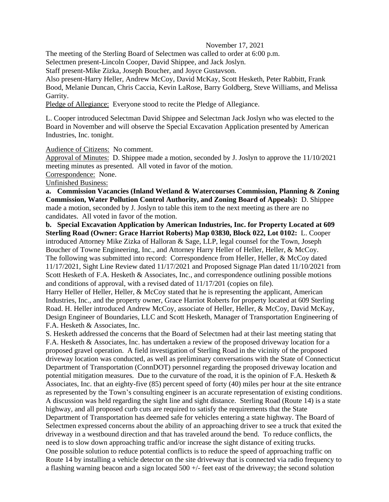## November 17, 2021

The meeting of the Sterling Board of Selectmen was called to order at 6:00 p.m.

Selectmen present-Lincoln Cooper, David Shippee, and Jack Joslyn.

Staff present-Mike Zizka, Joseph Boucher, and Joyce Gustavson.

Also present-Harry Heller, Andrew McCoy, David McKay, Scott Hesketh, Peter Rabbitt, Frank Bood, Melanie Duncan, Chris Caccia, Kevin LaRose, Barry Goldberg, Steve Williams, and Melissa Garrity.

Pledge of Allegiance: Everyone stood to recite the Pledge of Allegiance.

L. Cooper introduced Selectman David Shippee and Selectman Jack Joslyn who was elected to the Board in November and will observe the Special Excavation Application presented by American Industries, Inc. tonight.

Audience of Citizens: No comment.

Approval of Minutes: D. Shippee made a motion, seconded by J. Joslyn to approve the 11/10/2021 meeting minutes as presented. All voted in favor of the motion.

Correspondence: None.

Unfinished Business:

**a. Commission Vacancies (Inland Wetland & Watercourses Commission, Planning & Zoning Commission, Water Pollution Control Authority, and Zoning Board of Appeals):** D. Shippee made a motion, seconded by J. Joslyn to table this item to the next meeting as there are no candidates. All voted in favor of the motion.

**b. Special Excavation Application by American Industries, Inc. for Property Located at 609 Sterling Road (Owner: Grace Harriot Roberts) Map 03830, Block 022, Lot 0102:** L. Cooper introduced Attorney Mike Zizka of Halloran & Sage, LLP, legal counsel for the Town, Joseph Boucher of Towne Engineering, Inc., and Attorney Harry Heller of Heller, Heller, & McCoy. The following was submitted into record: Correspondence from Heller, Heller, & McCoy dated 11/17/2021, Sight Line Review dated 11/17/2021 and Proposed Signage Plan dated 11/10/2021 from Scott Hesketh of F.A. Hesketh & Associates, Inc., and correspondence outlining possible motions and conditions of approval, with a revised dated of 11/17/201 (copies on file).

Harry Heller of Heller, Heller, & McCoy stated that he is representing the applicant, American Industries, Inc., and the property owner, Grace Harriot Roberts for property located at 609 Sterling Road. H. Heller introduced Andrew McCoy, associate of Heller, Heller, & McCoy, David McKay, Design Engineer of Boundaries, LLC and Scott Hesketh, Manager of Transportation Engineering of F.A. Hesketh & Associates, Inc.

S. Hesketh addressed the concerns that the Board of Selectmen had at their last meeting stating that F.A. Hesketh & Associates, Inc. has undertaken a review of the proposed driveway location for a proposed gravel operation. A field investigation of Sterling Road in the vicinity of the proposed driveway location was conducted, as well as preliminary conversations with the State of Connecticut Department of Transportation (ConnDOT) personnel regarding the proposed driveway location and potential mitigation measures. Due to the curvature of the road, it is the opinion of F.A. Hesketh & Associates, Inc. that an eighty-five (85) percent speed of forty (40) miles per hour at the site entrance as represented by the Town's consulting engineer is an accurate representation of existing conditions. A discussion was held regarding the sight line and sight distance. Sterling Road (Route 14) is a state highway, and all proposed curb cuts are required to satisfy the requirements that the State Department of Transportation has deemed safe for vehicles entering a state highway. The Board of Selectmen expressed concerns about the ability of an approaching driver to see a truck that exited the driveway in a westbound direction and that has traveled around the bend. To reduce conflicts, the need is to slow down approaching traffic and/or increase the sight distance of exiting trucks. One possible solution to reduce potential conflicts is to reduce the speed of approaching traffic on Route 14 by installing a vehicle detector on the site driveway that is connected via radio frequency to a flashing warning beacon and a sign located  $500 +/-$  feet east of the driveway; the second solution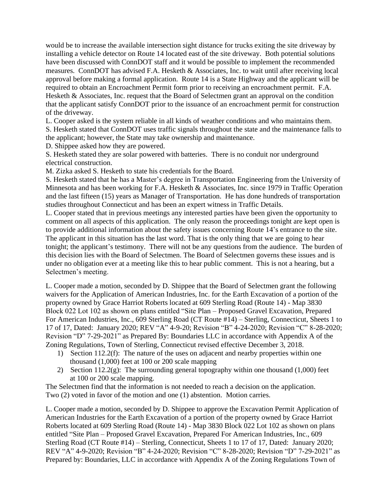would be to increase the available intersection sight distance for trucks exiting the site driveway by installing a vehicle detector on Route 14 located east of the site driveway. Both potential solutions have been discussed with ConnDOT staff and it would be possible to implement the recommended measures. ConnDOT has advised F.A. Hesketh & Associates, Inc. to wait until after receiving local approval before making a formal application. Route 14 is a State Highway and the applicant will be required to obtain an Encroachment Permit form prior to receiving an encroachment permit. F.A. Hesketh & Associates, Inc. request that the Board of Selectmen grant an approval on the condition that the applicant satisfy ConnDOT prior to the issuance of an encroachment permit for construction of the driveway.

L. Cooper asked is the system reliable in all kinds of weather conditions and who maintains them.

S. Hesketh stated that ConnDOT uses traffic signals throughout the state and the maintenance falls to the applicant; however, the State may take ownership and maintenance.

D. Shippee asked how they are powered.

S. Hesketh stated they are solar powered with batteries. There is no conduit nor underground electrical construction.

M. Zizka asked S. Hesketh to state his credentials for the Board.

S. Hesketh stated that he has a Master's degree in Transportation Engineering from the University of Minnesota and has been working for F.A. Hesketh & Associates, Inc. since 1979 in Traffic Operation and the last fifteen (15) years as Manager of Transportation. He has done hundreds of transportation studies throughout Connecticut and has been an expert witness in Traffic Details.

L. Cooper stated that in previous meetings any interested parties have been given the opportunity to comment on all aspects of this application. The only reason the proceedings tonight are kept open is to provide additional information about the safety issues concerning Route 14's entrance to the site. The applicant in this situation has the last word. That is the only thing that we are going to hear tonight; the applicant's testimony. There will not be any questions from the audience. The burden of this decision lies with the Board of Selectmen. The Board of Selectmen governs these issues and is under no obligation ever at a meeting like this to hear public comment. This is not a hearing, but a Selectmen's meeting.

L. Cooper made a motion, seconded by D. Shippee that the Board of Selectmen grant the following waivers for the Application of American Industries, Inc. for the Earth Excavation of a portion of the property owned by Grace Harriot Roberts located at 609 Sterling Road (Route 14) - Map 3830 Block 022 Lot 102 as shown on plans entitled "Site Plan – Proposed Gravel Excavation, Prepared For American Industries, Inc., 609 Sterling Road (CT Route #14) – Sterling, Connecticut, Sheets 1 to 17 of 17, Dated: January 2020; REV "A" 4-9-20; Revision "B" 4-24-2020; Revision "C" 8-28-2020; Revision "D" 7-29-2021" as Prepared By: Boundaries LLC in accordance with Appendix A of the Zoning Regulations, Town of Sterling, Connecticut revised effective December 3, 2018.

- 1) Section 112.2(f): The nature of the uses on adjacent and nearby properties within one thousand (1,000) feet at 100 or 200 scale mapping
- 2) Section 112.2(g): The surrounding general topography within one thousand  $(1,000)$  feet at 100 or 200 scale mapping.

The Selectmen find that the information is not needed to reach a decision on the application. Two (2) voted in favor of the motion and one (1) abstention. Motion carries.

L. Cooper made a motion, seconded by D. Shippee to approve the Excavation Permit Application of American Industries for the Earth Excavation of a portion of the property owned by Grace Harriot Roberts located at 609 Sterling Road (Route 14) - Map 3830 Block 022 Lot 102 as shown on plans entitled "Site Plan – Proposed Gravel Excavation, Prepared For American Industries, Inc., 609 Sterling Road (CT Route #14) – Sterling, Connecticut, Sheets 1 to 17 of 17, Dated: January 2020; REV "A" 4-9-2020; Revision "B" 4-24-2020; Revision "C" 8-28-2020; Revision "D" 7-29-2021" as Prepared by: Boundaries, LLC in accordance with Appendix A of the Zoning Regulations Town of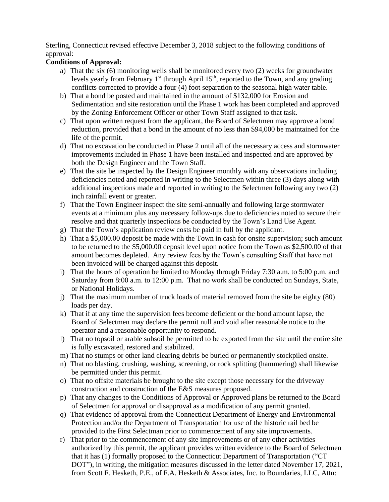Sterling, Connecticut revised effective December 3, 2018 subject to the following conditions of approval:

## **Conditions of Approval:**

- a) That the six (6) monitoring wells shall be monitored every two (2) weeks for groundwater levels yearly from February 1<sup>st</sup> through April 15<sup>th</sup>, reported to the Town, and any grading conflicts corrected to provide a four (4) foot separation to the seasonal high water table.
- b) That a bond be posted and maintained in the amount of \$132,000 for Erosion and Sedimentation and site restoration until the Phase 1 work has been completed and approved by the Zoning Enforcement Officer or other Town Staff assigned to that task.
- c) That upon written request from the applicant, the Board of Selectmen may approve a bond reduction, provided that a bond in the amount of no less than \$94,000 be maintained for the life of the permit.
- d) That no excavation be conducted in Phase 2 until all of the necessary access and stormwater improvements included in Phase 1 have been installed and inspected and are approved by both the Design Engineer and the Town Staff.
- e) That the site be inspected by the Design Engineer monthly with any observations including deficiencies noted and reported in writing to the Selectmen within three (3) days along with additional inspections made and reported in writing to the Selectmen following any two (2) inch rainfall event or greater.
- f) That the Town Engineer inspect the site semi-annually and following large stormwater events at a minimum plus any necessary follow-ups due to deficiencies noted to secure their resolve and that quarterly inspections be conducted by the Town's Land Use Agent.
- g) That the Town's application review costs be paid in full by the applicant.
- h) That a \$5,000.00 deposit be made with the Town in cash for onsite supervision; such amount to be returned to the \$5,000.00 deposit level upon notice from the Town as \$2,500.00 of that amount becomes depleted. Any review fees by the Town's consulting Staff that have not been invoiced will be charged against this deposit.
- i) That the hours of operation be limited to Monday through Friday 7:30 a.m. to 5:00 p.m. and Saturday from 8:00 a.m. to 12:00 p.m. That no work shall be conducted on Sundays, State, or National Holidays.
- j) That the maximum number of truck loads of material removed from the site be eighty (80) loads per day.
- k) That if at any time the supervision fees become deficient or the bond amount lapse, the Board of Selectmen may declare the permit null and void after reasonable notice to the operator and a reasonable opportunity to respond.
- l) That no topsoil or arable subsoil be permitted to be exported from the site until the entire site is fully excavated, restored and stabilized.
- m) That no stumps or other land clearing debris be buried or permanently stockpiled onsite.
- n) That no blasting, crushing, washing, screening, or rock splitting (hammering) shall likewise be permitted under this permit.
- o) That no offsite materials be brought to the site except those necessary for the driveway construction and construction of the E&S measures proposed.
- p) That any changes to the Conditions of Approval or Approved plans be returned to the Board of Selectmen for approval or disapproval as a modification of any permit granted.
- q) That evidence of approval from the Connecticut Department of Energy and Environmental Protection and/or the Department of Transportation for use of the historic rail bed be provided to the First Selectman prior to commencement of any site improvements.
- r) That prior to the commencement of any site improvements or of any other activities authorized by this permit, the applicant provides written evidence to the Board of Selectmen that it has (1) formally proposed to the Connecticut Department of Transportation ("CT DOT"), in writing, the mitigation measures discussed in the letter dated November 17, 2021, from Scott F. Hesketh, P.E., of F.A. Hesketh & Associates, Inc. to Boundaries, LLC, Attn: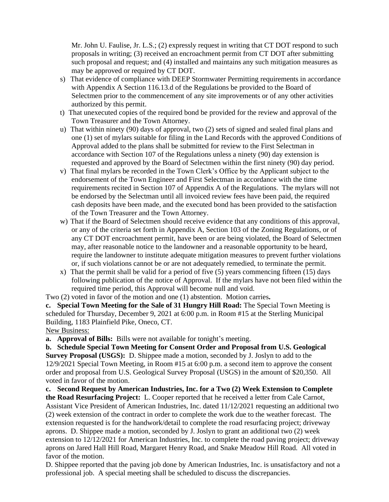Mr. John U. Faulise, Jr. L.S.; (2) expressly request in writing that CT DOT respond to such proposals in writing; (3) received an encroachment permit from CT DOT after submitting such proposal and request; and (4) installed and maintains any such mitigation measures as may be approved or required by CT DOT.

- s) That evidence of compliance with DEEP Stormwater Permitting requirements in accordance with Appendix A Section 116.13.d of the Regulations be provided to the Board of Selectmen prior to the commencement of any site improvements or of any other activities authorized by this permit.
- t) That unexecuted copies of the required bond be provided for the review and approval of the Town Treasurer and the Town Attorney.
- u) That within ninety (90) days of approval, two (2) sets of signed and sealed final plans and one (1) set of mylars suitable for filing in the Land Records with the approved Conditions of Approval added to the plans shall be submitted for review to the First Selectman in accordance with Section 107 of the Regulations unless a ninety (90) day extension is requested and approved by the Board of Selectmen within the first ninety (90) day period.
- v) That final mylars be recorded in the Town Clerk's Office by the Applicant subject to the endorsement of the Town Engineer and First Selectman in accordance with the time requirements recited in Section 107 of Appendix A of the Regulations. The mylars will not be endorsed by the Selectman until all invoiced review fees have been paid, the required cash deposits have been made, and the executed bond has been provided to the satisfaction of the Town Treasurer and the Town Attorney.
- w) That if the Board of Selectmen should receive evidence that any conditions of this approval, or any of the criteria set forth in Appendix A, Section 103 of the Zoning Regulations, or of any CT DOT encroachment permit, have been or are being violated, the Board of Selectmen may, after reasonable notice to the landowner and a reasonable opportunity to be heard, require the landowner to institute adequate mitigation measures to prevent further violations or, if such violations cannot be or are not adequately remedied, to terminate the permit.
- x) That the permit shall be valid for a period of five (5) years commencing fifteen (15) days following publication of the notice of Approval. If the mylars have not been filed within the required time period, this Approval will become null and void.

Two (2) voted in favor of the motion and one (1) abstention. Motion carries**.**

**c. Special Town Meeting for the Sale of 31 Hungry Hill Road:** The Special Town Meeting is scheduled for Thursday, December 9, 2021 at 6:00 p.m. in Room #15 at the Sterling Municipal Building, 1183 Plainfield Pike, Oneco, CT. New Business:

**a. Approval of Bills:** Bills were not available for tonight's meeting.

**b. Schedule Special Town Meeting for Consent Order and Proposal from U.S. Geological Survey Proposal (USGS):** D. Shippee made a motion, seconded by J. Joslyn to add to the 12/9/2021 Special Town Meeting, in Room #15 at 6:00 p.m. a second item to approve the consent order and proposal from U.S. Geological Survey Proposal (USGS) in the amount of \$20,350. All voted in favor of the motion.

**c. Second Request by American Industries, Inc. for a Two (2) Week Extension to Complete the Road Resurfacing Project:** L. Cooper reported that he received a letter from Cale Carnot, Assistant Vice President of American Industries, Inc. dated 11/12/2021 requesting an additional two (2) week extension of the contract in order to complete the work due to the weather forecast. The extension requested is for the handwork/detail to complete the road resurfacing project; driveway aprons. D. Shippee made a motion, seconded by J. Joslyn to grant an additional two (2) week extension to 12/12/2021 for American Industries, Inc. to complete the road paving project; driveway aprons on Jared Hall Hill Road, Margaret Henry Road, and Snake Meadow Hill Road. All voted in favor of the motion.

D. Shippee reported that the paving job done by American Industries, Inc. is unsatisfactory and not a professional job. A special meeting shall be scheduled to discuss the discrepancies.